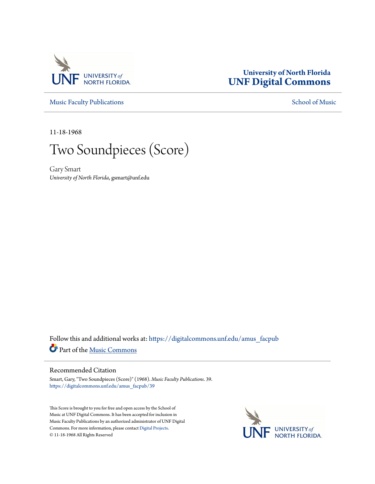

### **University of North Florida [UNF Digital Commons](https://digitalcommons.unf.edu?utm_source=digitalcommons.unf.edu%2Famus_facpub%2F39&utm_medium=PDF&utm_campaign=PDFCoverPages)**

[Music Faculty Publications](https://digitalcommons.unf.edu/amus_facpub?utm_source=digitalcommons.unf.edu%2Famus_facpub%2F39&utm_medium=PDF&utm_campaign=PDFCoverPages) [School of Music](https://digitalcommons.unf.edu/amus?utm_source=digitalcommons.unf.edu%2Famus_facpub%2F39&utm_medium=PDF&utm_campaign=PDFCoverPages)

11-18-1968

Two Soundpieces (Score)

Gary Smart *University of North Florida*, gsmart@unf.edu

Follow this and additional works at: [https://digitalcommons.unf.edu/amus\\_facpub](https://digitalcommons.unf.edu/amus_facpub?utm_source=digitalcommons.unf.edu%2Famus_facpub%2F39&utm_medium=PDF&utm_campaign=PDFCoverPages) Part of the [Music Commons](http://network.bepress.com/hgg/discipline/518?utm_source=digitalcommons.unf.edu%2Famus_facpub%2F39&utm_medium=PDF&utm_campaign=PDFCoverPages)

#### Recommended Citation

Smart, Gary, "Two Soundpieces (Score)" (1968). *Music Faculty Publications*. 39. [https://digitalcommons.unf.edu/amus\\_facpub/39](https://digitalcommons.unf.edu/amus_facpub/39?utm_source=digitalcommons.unf.edu%2Famus_facpub%2F39&utm_medium=PDF&utm_campaign=PDFCoverPages)

This Score is brought to you for free and open access by the School of Music at UNF Digital Commons. It has been accepted for inclusion in Music Faculty Publications by an authorized administrator of UNF Digital Commons. For more information, please contact [Digital Projects](mailto:lib-digital@unf.edu). © 11-18-1968 All Rights Reserved

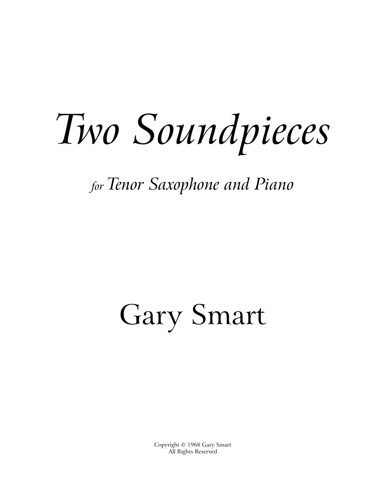# *Two Soundpieces*

*for Tenor Saxophone and Piano*

## Gary Smart

Copyright © 1968 Gary Smart All Rights Reserved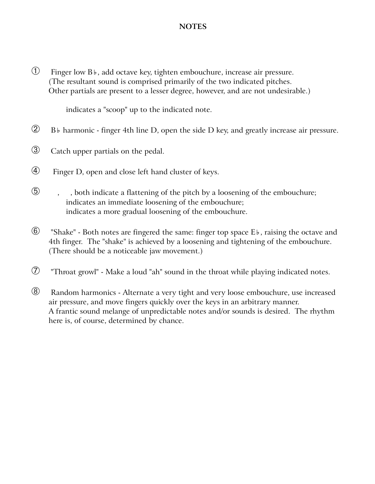### **NOTES**

 $\bigcirc$  Finger low B<sub>b</sub>, add octave key, tighten embouchure, increase air pressure. (The resultant sound is comprised primarily of the two indicated pitches. Other partials are present to a lesser degree, however, and are not undesirable.)

indicates a "scoop" up to the indicated note.

- $\circled{2}$  Bb harmonic finger 4th line D, open the side D key, and greatly increase air pressure.
- ‰ Catch upper partials on the pedal.
- Â Finger D, open and close left hand cluster of keys.
- $\overline{\textcircled{5}}$ , both indicate a flattening of the pitch by a loosening of the embouchure; indicates an immediate loosening of the embouchure; indicates a more gradual loosening of the embouchure.
- $\circled{6}$  "Shake" Both notes are fingered the same: finger top space Eb, raising the octave and 4th finger. The "shake" is achieved by a loosening and tightening of the embouchure. (There should be a noticeable jaw movement.)
- $\overline{\mathcal{O}}$  "Throat growl" Make a loud "ah" sound in the throat while playing indicated notes.
- È Random harmonics Alternate <sup>a</sup> very tight and very loose embouchure, use increased air pressure, and move fingers quickly over the keys in an arbitrary manner. A frantic sound melange of unpredictable notes and/or sounds is desired. The rhythm here is, of course, determined by chance.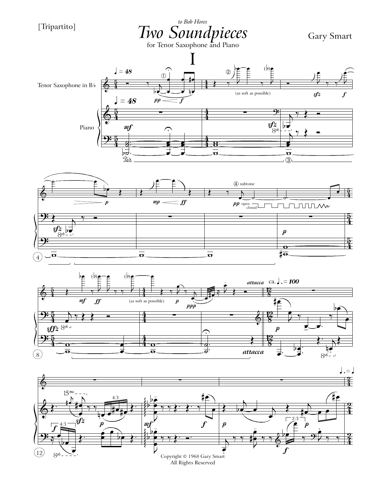

[Tripartito]

for Tenor Saxophone and Piano







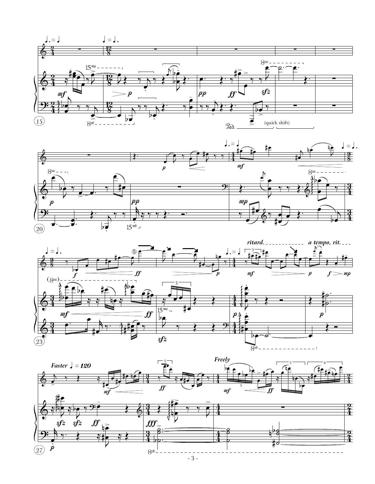





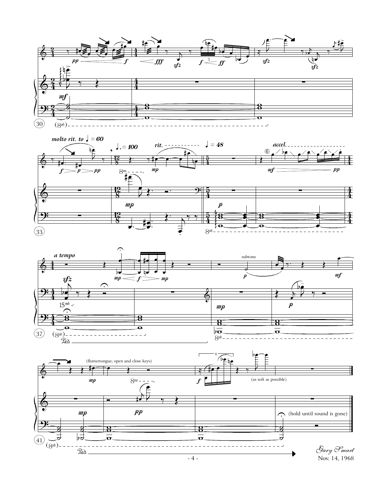





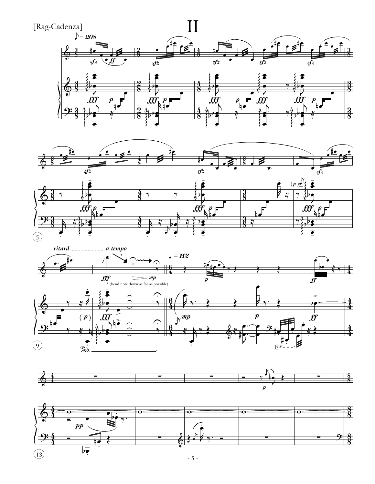





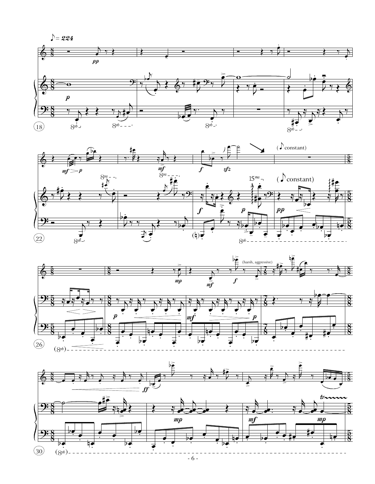





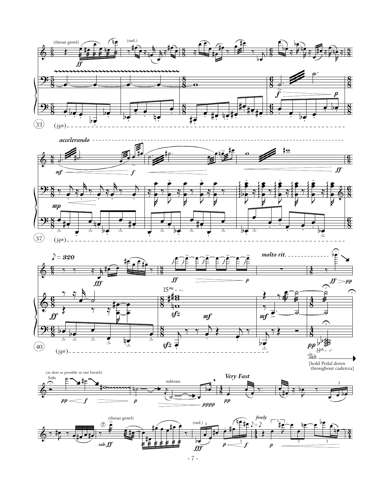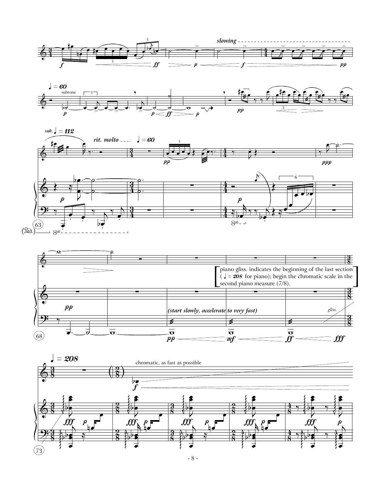